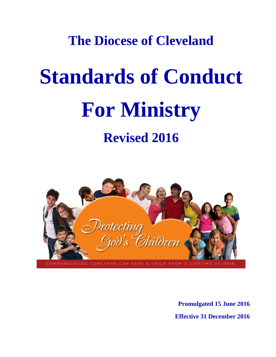## **The Diocese of Cleveland**

# **Standards of Conduct For Ministry Revised 2016**



**Promulgated 15 June 2016 Effective 31 December 2016**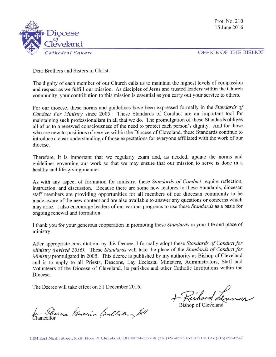Prot. No. 210 15 June 2016



OFFICE OF THE BISHOP

Dear Brothers and Sisters in Christ,

The dignity of each member of our Church calls us to maintain the highest levels of compassion and respect as we fulfill our mission. As disciples of Jesus and trusted leaders within the Church community, your contribution to this mission is essential as you carry out your service to others.

For our diocese, these norms and guidelines have been expressed formally in the Standards of Conduct For Ministry since 2005. These Standards of Conduct are an important tool for maintaining such professionalism in all that we do. The promulgation of these Standards obliges all of us to a renewed consciousness of the need to protect each person's dignity. And for those who are new to positions of service within the Diocese of Cleveland, these Standards continue to introduce a clear understanding of those expectations for everyone affiliated with the work of our diocese.

Therefore, it is important that we regularly exam and, as needed, update the norms and guidelines governing our work so that we may ensure that our mission to serve is done in a healthy and life-giving manner.

As with any aspect of formation for ministry, these Standards of Conduct require reflection, instruction, and discussion. Because there are some new features to these Standards, diocesan staff members are providing opportunities for all members of our diocesan community to be made aware of the new content and are also available to answer any questions or concerns which may arise. I also encourage leaders of our various programs to use these Standards as a basis for ongoing renewal and formation.

I thank you for your generous cooperation in promoting these Standards in your life and place of ministry.

After appropriate consultation, by this Decree, I formally adopt these Standards of Conduct for Ministry (revised 2016). These Standards will take the place of the Standards of Conduct for Ministry promulgated in 2005. This decree is published by my authority as Bishop of Cleveland and is to apply to all Priests, Deacons, Lay Ecclesial Ministers, Administrators, Staff and Volunteers of the Diocese of Cleveland, its parishes and other Catholic Institutions within the Diocese.

The Decree will take effect on 31 December 2016.

**Bishop of Cleveland** 

In. Phenese Guerin Coullian, SA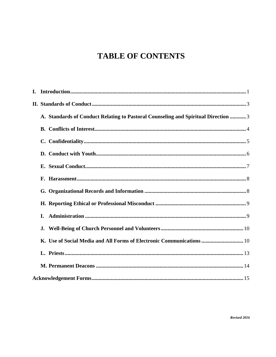## **TABLE OF CONTENTS**

| A. Standards of Conduct Relating to Pastoral Counseling and Spiritual Direction  3 |  |
|------------------------------------------------------------------------------------|--|
|                                                                                    |  |
|                                                                                    |  |
|                                                                                    |  |
|                                                                                    |  |
|                                                                                    |  |
|                                                                                    |  |
|                                                                                    |  |
| L.                                                                                 |  |
| J.                                                                                 |  |
| K. Use of Social Media and All Forms of Electronic Communications  10              |  |
|                                                                                    |  |
|                                                                                    |  |
|                                                                                    |  |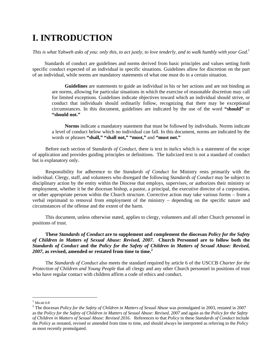## **I. INTRODUCTION**

*This is what Yahweh asks of you: only this, to act justly, to love tenderly, and to walk humbly with your God.1*

Standards of conduct are guidelines and norms derived from basic principles and values setting forth specific conduct expected of an individual in specific situations. Guidelines allow for discretion on the part of an individual, while norms are mandatory statements of what one must do in a certain situation.

**Guidelines** are statements to guide an individual in his or her actions and are not binding as are norms, allowing for particular situations in which the exercise of reasonable discretion may call for limited exceptions. Guidelines indicate objectives toward which an individual should strive, or conduct that individuals should ordinarily follow, recognizing that there may be exceptional circumstances. In this document, guidelines are indicated by the use of the word **"should"** or **"should not."**

**Norms** indicate a mandatory statement that must be followed by individuals. Norms indicate a level of conduct below which no individual can fall. In this document, norms are indicated by the words or phrases **"shall," "shall not," "must,"** and **"must not."**

Before each section of *Standards of Conduct*, there is text in *italics* which is a statement of the scope of application and provides guiding principles or definitions. The italicized text is not a standard of conduct but is explanatory only.

Responsibility for adherence to the *Standards of Conduct* for Ministry rests primarily with the individual. Clergy, staff, and volunteers who disregard the following *Standards of Conduct* may be subject to disciplinary action by the entity within the Diocese that employs, supervises, or authorizes their ministry or employment, whether it be the diocesan bishop, a pastor, a principal, the executive director of a corporation, or other appropriate person within the Church structure. Corrective action may take various forms – from a verbal reprimand to removal from employment of the ministry – depending on the specific nature and circumstances of the offense and the extent of the harm.

This document, unless otherwise stated, applies to clergy, volunteers and all other Church personnel in positions of trust.

**These** *Standards of Conduct* **are to supplement and complement the diocesan** *Policy for the Safety of Children in Matters of Sexual Abuse: Revised, 2007***. Church Personnel are to follow both the**  *Standards of Conduct* **and the** *Policy for the Safety of Children in Matters of Sexual Abuse: Revised, 2007***, as revised, amended or restated from time to time.2**

The *Standards of Conduct* also meets the standard required by article 6 of the USCCB *Charter for the Protection of Children and Young People* that all clergy and any other Church personnel in positions of trust who have regular contact with children affirm a code of ethics and conduct.

 $\overline{a}$ 

 $1$  Micah 6:8

<sup>2</sup> The diocesan *Policy for the Safety of Children in Matters of Sexual Abuse* was promulgated in 2003, restated in 2007 as the *Policy for the Safety of Children in Matters of Sexual Abuse: Revised, 2007* and again as the *Policy for the Safety of Children in Matters of Sexual Abuse: Revised 2016*. References to that *Policy* in these *Standards of Conduct* include the *Policy* as restated, revised or amended from time to time, and should always be interpreted as referring to the *Policy* as most recently promulgated.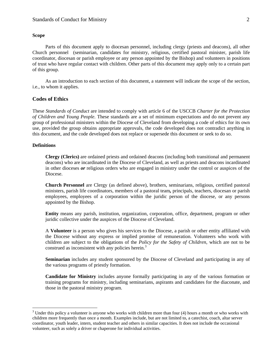#### **Scope**

Parts of this document apply to diocesan personnel, including clergy (priests and deacons), all other Church personnel (seminarian, candidates for ministry, religious, certified pastoral minister, parish life coordinator, diocesan or parish employee or any person appointed by the Bishop) and volunteers in positions of trust who have regular contact with children. Other parts of this document may apply only to a certain part of this group.

As an introduction to each section of this document, a statement will indicate the scope of the section, i.e., to whom it applies.

#### **Codes of Ethics**

These *Standards of Conduct* are intended to comply with article 6 of the USCCB *Charter for the Protection of Children and Young People*. These standards are a set of minimum expectations and do not prevent any group of professional ministers within the Diocese of Cleveland from developing a code of ethics for its own use, provided the group obtains appropriate approvals, the code developed does not contradict anything in this document, and the code developed does not replace or supersede this document or seek to do so.

#### **Definitions**

 $\overline{a}$ 

**Clergy (Clerics)** are ordained priests and ordained deacons (including both transitional and permanent deacons) who are incardinated in the Diocese of Cleveland, as well as priests and deacons incardinated in other dioceses *or* religious orders who are engaged in ministry under the control or auspices of the Diocese.

**Church Personnel** are Clergy (as defined above), brothers, seminarians, religious, certified pastoral ministers, parish life coordinators, members of a pastoral team*,* principals, teachers, diocesan or parish employees, employees of a corporation within the juridic person of the diocese, or any persons appointed by the Bishop.

**Entity** means any parish, institution, organization, corporation, office, department, program or other juridic collective under the auspices of the Diocese of Cleveland.

A **Volunteer** is a person who gives his services to the Diocese, a parish or other entity affiliated with the Diocese without any express or implied promise of remuneration. Volunteers who work with children are subject to the obligations of the *Policy for the Safety of Children*, which are not to be construed as inconsistent with any policies herein.<sup>3</sup>

**Seminarian** includes any student sponsored by the Diocese of Cleveland and participating in any of the various programs of priestly formation.

**Candidate for Ministry** includes anyone formally participating in any of the various formation or training programs for ministry, including seminarians, aspirants and candidates for the diaconate, and those in the pastoral ministry program.

 $3$  Under this policy a volunteer is anyone who works with children more than four (4) hours a month or who works with children more frequently than once a month. Examples include, but are not limited to, a catechist, coach, altar server coordinator, youth leader, intern, student teacher and others in similar capacities. It does not include the occasional volunteer, such as solely a driver or chaperone for individual activities.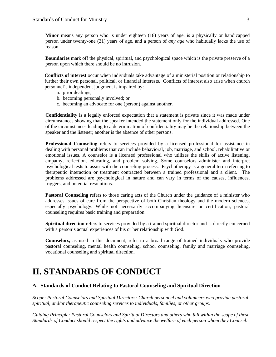**Minor** means any person who is under eighteen (18) years of age, is a physically or handicapped person under twenty-one (21) years of age, and a person of *any age* who habitually lacks the use of reason.

**Boundaries** mark off the physical, spiritual, and psychological space which is the private preserve of a person upon which there should be no intrusion.

 **Conflicts of interest** occur when individuals take advantage of a ministerial position or relationship to further their own personal, political, or financial interests. Conflicts of interest also arise when church personnel's independent judgment is impaired by:

- a. prior dealings;
- b. becoming personally involved; or
- c. becoming an advocate for one (person) against another.

**Confidentiality** is a legally enforced expectation that a statement is private since it was made under circumstances showing that the speaker intended the statement only for the individual addressed. One of the circumstances leading to a determination of confidentiality may be the relationship between the speaker and the listener; another is the absence of other persons.

**Professional Counseling** refers to services provided by a licensed professional for assistance in dealing with personal problems that can include behavioral, job, marriage, and school, rehabilitative or emotional issues. A counselor is a licensed professional who utilizes the skills of active listening, empathy, reflection, educating, and problem solving. Some counselors administer and interpret psychological tests to assist with the counseling process. Psychotherapy is a general term referring to therapeutic interaction or treatment contracted between a trained professional and a client. The problems addressed are psychological in nature and can vary in terms of the causes, influences, triggers, and potential resolutions.

**Pastoral Counseling** refers to those caring acts of the Church under the guidance of a minister who addresses issues of care from the perspective of both Christian theology and the modern sciences, especially psychology. While not necessarily accompanying licensure or certification, pastoral counseling requires basic training and preparation.

**Spiritual direction** refers to services provided by a trained spiritual director and is directly concerned with a person's actual experiences of his or her relationship with God.

**Counselors,** as used in this document, refer to a broad range of trained individuals who provide pastoral counseling, mental health counseling, school counseling, family and marriage counseling, vocational counseling and spiritual direction.

## **II. STANDARDS OF CONDUCT**

#### **A. Standards of Conduct Relating to Pastoral Counseling and Spiritual Direction**

*Scope: Pastoral Counselors and Spiritual Directors: Church personnel and volunteers who provide pastoral, spiritual, and/or therapeutic counseling services to individuals, families, or other groups.* 

*Guiding Principle: Pastoral Counselors and Spiritual Directors and others who fall within the scope of these Standards of Conduct should respect the rights and advance the welfare of each person whom they Counsel.*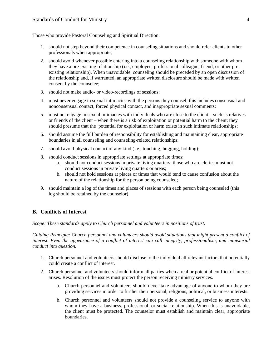Those who provide Pastoral Counseling and Spiritual Direction:

- 1. should not step beyond their competence in counseling situations and should refer clients to other professionals when appropriate;
- 2. should avoid whenever possible entering into a counseling relationship with someone with whom they have a pre-existing relationship (i.e., employee, professional colleague, friend, or other preexisting relationship). When unavoidable, counseling should be preceded by an open discussion of the relationship and, if warranted, an appropriate written disclosure should be made with written consent by the counselee;
- 3. should not make audio- or video-recordings of sessions;
- 4. must never engage in sexual intimacies with the persons they counsel; this includes consensual and nonconsensual contact, forced physical contact, and inappropriate sexual comments;
- 5. must not engage in sexual intimacies with individuals who are close to the client such as relatives or friends of the client – when there is a risk of exploitation or potential harm to the client; they should presume that the potential for exploitation or harm exists in such intimate relationships;
- 6. should assume the full burden of responsibility for establishing and maintaining clear, appropriate boundaries in all counseling and counseling-related relationships;
- 7. should avoid physical contact of any kind (i.e., touching, hugging, holding);
- 8. should conduct sessions in appropriate settings at appropriate times;
	- a. should not conduct sessions in private living quarters; those who are clerics must not conduct sessions in private living quarters or areas;
	- b. should not hold sessions at places or times that would tend to cause confusion about the nature of the relationship for the person being counseled;
- 9. should maintain a log of the times and places of sessions with each person being counseled (this log should be retained by the counselor).

#### **B. Conflicts of Interest**

*Scope: These standards apply to Church personnel and volunteers in positions of trust.* 

*Guiding Principle: Church personnel and volunteers should avoid situations that might present a conflict of interest. Even the appearance of a conflict of interest can call integrity, professionalism, and ministerial conduct into question.* 

- 1. Church personnel and volunteers should disclose to the individual all relevant factors that potentially could create a conflict of interest.
- 2. Church personnel and volunteers should inform all parties when a real or potential conflict of interest arises. Resolution of the issues must protect the person receiving ministry services.
	- a. Church personnel and volunteers should never take advantage of anyone to whom they are providing services in order to further their personal, religious, political, or business interests.
	- b. Church personnel and volunteers should not provide a counseling service to anyone with whom they have a business, professional, or social relationship. When this is unavoidable, the client must be protected. The counselor must establish and maintain clear, appropriate boundaries.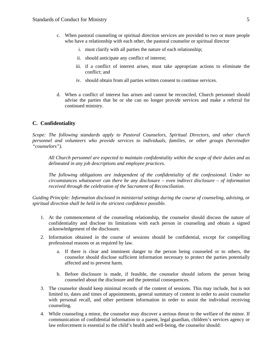- c. When pastoral counseling or spiritual direction services are provided to two or more people who have a relationship with each other, the pastoral counselor or spiritual director
	- i. must clarify with all parties the nature of each relationship;
	- ii. should anticipate any conflict of interest;
	- iii. if a conflict of interest arises, must take appropriate actions to eliminate the conflict; and
	- iv. should obtain from all parties written consent to continue services.
- d. When a conflict of interest has arisen and cannot be reconciled, Church personnel should advise the parties that he or she can no longer provide services and make a referral for continued ministry.

#### **C. Confidentiality**

*Scope: The following standards apply to Pastoral Counselors, Spiritual Directors, and other church personnel and volunteers who provide services to individuals, families, or other groups (hereinafter "counselors").* 

*All Church personnel are expected to maintain confidentiality within the scope of their duties and as delineated in any job descriptions and employee practices.* 

*The following obligations are independent of the confidentiality of the confessional. Under no circumstances whatsoever can there be any disclosure – even indirect disclosure – of information received through the celebration of the Sacrament of Reconciliation.* 

*Guiding Principle: Information disclosed in ministerial settings during the course of counseling, advising, or spiritual direction shall be held in the strictest confidence possible.* 

- 1. At the commencement of the counseling relationship, the counselor should discuss the nature of confidentiality and disclose its limitations with each person in counseling and obtain a signed acknowledgement of the disclosure.
- 2. Information obtained in the course of sessions should be confidential, except for compelling professional reasons or as required by law.
	- a. If there is clear and imminent danger to the person being counseled or to others, the counselor should disclose sufficient information necessary to protect the parties potentially affected and to prevent harm.
	- b. Before disclosure is made, if feasible, the counselor should inform the person being counseled about the disclosure and the potential consequences.
- 3. The counselor should keep minimal records of the content of sessions. This may include, but is not limited to, dates and times of appointments, general summary of content in order to assist counselor with personal recall, and other pertinent information in order to assist the individual receiving counseling.
- 4. While counseling a minor, the counselor may discover a serious threat to the welfare of the minor. If communication of confidential information to a parent, legal guardian, children's services agency or law enforcement is essential to the child's health and well-being, the counselor should: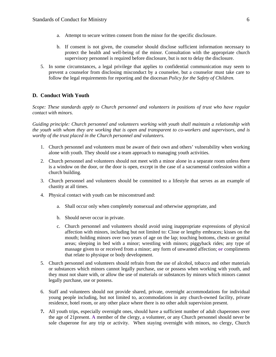- a. Attempt to secure written consent from the minor for the specific disclosure.
- b. If consent is not given, the counselor should disclose sufficient information necessary to protect the health and well-being of the minor. Consultation with the appropriate church supervisory personnel is required before disclosure, but is not to delay the disclosure.
- 5. In some circumstances, a legal privilege that applies to confidential communication may seem to prevent a counselor from disclosing misconduct by a counselee, but a counselor must take care to follow the legal requirements for reporting and the diocesan *Policy for the Safety of Children.*

#### **D. Conduct With Youth**

*Scope: These standards apply to Church personnel and volunteers in positions of trust who have regular contact with minors.* 

*Guiding principle: Church personnel and volunteers working with youth shall maintain a relationship with the youth with whom they are working that is open and transparent to co-workers and supervisors, and is worthy of the trust placed in the Church personnel and volunteers.* 

- 1. Church personnel and volunteers must be aware of their own and others' vulnerability when working alone with youth. They should use a team approach to managing youth activities.
- 2. Church personnel and volunteers should not meet with a minor alone in a separate room unless there is a window on the door, or the door is open, except in the case of a sacramental confession within a church building.
- 3. Church personnel and volunteers should be committed to a lifestyle that serves as an example of chastity at all times.
- 4. Physical contact with youth can be misconstrued and:
	- a. Shall occur only when completely nonsexual and otherwise appropriate, and
	- b. Should never occur in private.
	- c. Church personnel and volunteers should avoid using inappropriate expressions of physical affection with minors, including but not limited to: Close or lengthy embraces; kisses on the mouth; holding minors over two years of age on the lap; touching bottoms, chests or genital areas; sleeping in bed with a minor; wrestling with minors; piggyback rides; any type of massage given to or received from a minor; any form of unwanted affection; **or** compliments that relate to physique or body development.
- 5. Church personnel and volunteers should refrain from the use of alcohol, tobacco and other materials or substances which minors cannot legally purchase, use or possess when working with youth, and they must not share with, or allow the use of materials or substances by minors which minors cannot legally purchase, use or possess.
- 6. Staff and volunteers should not provide shared, private, overnight accommodations for individual young people including, but not limited to, accommodations in any church-owned facility, private residence, hotel room, or any other place where there is no other adult supervision present.
- **7.** All youth trips, especially overnight ones, should have a sufficient number of adult chaperones over the age of 21present. **A** member of the clergy, a volunteer, or any Church personnel should never be sole chaperone for any trip or activity. When staying overnight with minors, no clergy, Church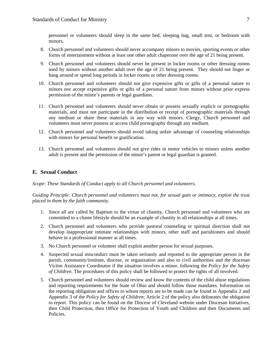personnel or volunteers should sleep in the same bed, sleeping bag, small tent, or bedroom with minors**.** 

- 8. Church personnel and volunteers should never accompany minors to movies, sporting events or other forms of entertainment without at least one other adult chaperone over the age of 21 being present.
- 9. Church personnel and volunteers should never be present in locker rooms or other dressing rooms used by minors without another adult over the age of 21 being present. They should not linger or hang around or spend long periods in locker rooms or other dressing rooms.
- 10. Church personnel and volunteers should not give expensive gifts or gifts of a personal nature to minors nor accept expensive gifts or gifts of a personal nature from minors without prior express permission of the minor's parents or legal guardians.
- 11. Church personnel and volunteers should never obtain or possess sexually explicit or pornographic materials, and must not participate in the distribution or receipt of pornographic materials through any medium or share these materials in any way with minors. Clergy, Church personnel and volunteers must never possess or access child pornography through any medium.
- 12. Church personnel and volunteers should avoid taking unfair advantage of counseling relationships with minors for personal benefit or gratification.
- 13. Church personnel and volunteers should not give rides in motor vehicles to minors unless another adult is present and the permission of the minor's parent or legal guardian is granted.

#### **E. Sexual Conduct**

*Scope: These Standards of Conduct apply to all Church personnel and volunteers.* 

*Guiding Principle: Church personnel and volunteers must not, for sexual gain or intimacy, exploit the trust placed in them by the faith community.* 

- 1. Since all are called by Baptism to the virtue of chastity, Church personnel and volunteers who are committed to a chaste lifestyle should be an example of chastity in all relationships at all times.
- 2. Church personnel and volunteers who provide pastoral counseling or spiritual direction shall not develop inappropriate intimate relationships with minors, other staff and parishioners and should behave in a professional manner at all times.
- 3. No Church personnel or volunteer shall exploit another person for sexual purposes.
- 4. Suspected sexual misconduct must be taken seriously and reported to the appropriate person in the parish, community/institute, diocese, or organization and also to civil authorities and the diocesan Victim Assistance Coordinator if the situation involves a minor, following the *Policy for the Safety of Children*. The procedures of this policy shall be followed to protect the rights of all involved.
- 5. Church personnel and volunteers should review and know the contents of the child abuse regulations and reporting requirements for the State of Ohio and should follow those mandates*.* Information on the reporting obligation and offices to whom reports are to be made can be found in Appendix 2 and Appendix 3 of the *Policy for Safety of Children*; Article 2 of the policy also delineates the obligation to report. This policy can be found on the Diocese of Cleveland website under Diocesan Initiatives, then Child Protection, then Office for Protection of Youth and Children and then Documents and Policies.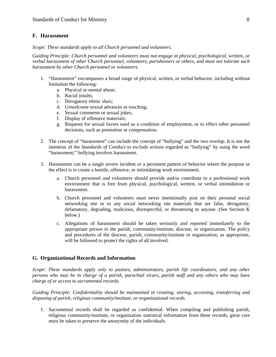#### **F. Harassment**

*Scope: These standards apply to all Church personnel and volunteers.* 

*Guiding Principle: Church personnel and volunteers must not engage in physical, psychological, written, or verbal harassment of other Church personnel, volunteers, parishioners or others, and must not tolerate such harassment by other Church personnel or volunteers.* 

- 1. "Harassment" encompasses a broad range of physical, written, or verbal behavior, including without limitation the following:
	- a. Physical or mental abuse;
	- b. Racial insults;
	- c. Derogatory ethnic slurs;
	- d. Unwelcome sexual advances or touching;
	- e. Sexual comments or sexual jokes;
	- f. Display of offensive materials;
	- g. Requests for sexual favors used as a condition of employment, or to effect other personnel decisions, such as promotion or compensation.
- 2. The concept of "harassment" can include the concept of "bullying" and the two overlap. It is not the intention of the *Standards of Conduct* to exclude actions regarded as "bullying" by using the word "harassment;" bullying involves harassment.
- 3. Harassment can be a single severe incident or a persistent pattern of behavior where the purpose or the effect is to create a hostile, offensive, or intimidating work environment.
	- a. Church personnel and volunteers should provide and/or contribute to a professional work environment that is free from physical, psychological, written, or verbal intimidation or harassment.
	- b. Church personnel and volunteers must never intentionally post on their personal social networking site or to any social networking site materials that are false, derogatory, defamatory, degrading, malicious, disrespectful, or threatening to anyone. (See Section K below.)
	- c. Allegations of harassment should be taken seriously and reported immediately to the appropriate person in the parish, community/institute, diocese, or organization. The policy and procedures of the diocese, parish, community/institute or organization, as appropriate, will be followed to protect the rights of all involved.

#### **G. Organizational Records and Information**

*Scope: These standards apply only to pastors, administrators, parish life coordinators, and any other persons who may be in charge of a parish, parochial vicars, parish staff and any others who may have charge of or access to sacramental records.* 

*Guiding Principle: Confidentiality should be maintained in creating, storing, accessing, transferring and disposing of parish, religious community/institute, or organizational records.* 

1. Sacramental records shall be regarded as confidential. When compiling and publishing parish, religious community/institute, or organization statistical information from these records, great care must be taken to preserve the anonymity of the individuals.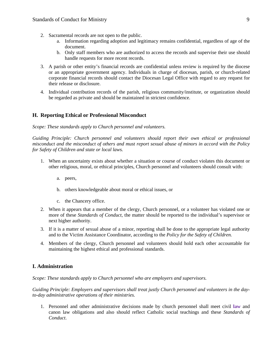- 2. Sacramental records are not open to the public.
	- a. Information regarding adoption and legitimacy remains confidential, regardless of age of the document.
	- b. Only staff members who are authorized to access the records and supervise their use should handle requests for more recent records.
- 3. A parish or other entity's financial records are confidential unless review is required by the diocese or an appropriate government agency. Individuals in charge of diocesan, parish, or church-related corporate financial records should contact the Diocesan Legal Office with regard to any request for their release or disclosure.
- 4. Individual contribution records of the parish, religious community/institute, or organization should be regarded as private and should be maintained in strictest confidence.

#### **H. Reporting Ethical or Professional Misconduct**

#### *Scope: These standards apply to Church personnel and volunteers.*

*Guiding Principle: Church personnel and volunteers should report their own ethical or professional misconduct and the misconduct of others and must report sexual abuse of minors in accord with the Policy for Safety of Children and state or local laws.* 

- 1. When an uncertainty exists about whether a situation or course of conduct violates this document or other religious, moral, or ethical principles, Church personnel and volunteers should consult with:
	- a. peers,
	- b. others knowledgeable about moral or ethical issues, or
	- c. the Chancery office.
- 2. When it appears that a member of the clergy, Church personnel, or a volunteer has violated one or more of these *Standards of Conduct*, the matter should be reported to the individual's supervisor or next higher authority.
- 3. If it is a matter of sexual abuse of a minor, reporting shall be done to the appropriate legal authority and to the Victim Assistance Coordinator, according to the *Policy for the Safety of Children.*
- 4. Members of the clergy, Church personnel and volunteers should hold each other accountable for maintaining the highest ethical and professional standards.

#### **I. Administration**

*Scope: These standards apply to Church personnel who are employers and supervisors.* 

*Guiding Principle: Employers and supervisors shall treat justly Church personnel and volunteers in the dayto-day administrative operations of their ministries.* 

1. Personnel and other administrative decisions made by church personnel shall meet civil **law** and canon law obligations and also should reflect Catholic social teachings and these *Standards of Conduct*.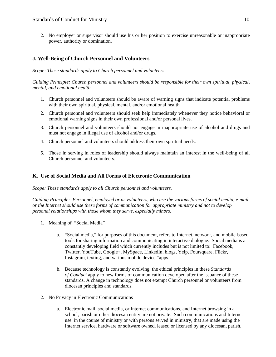2. No employer or supervisor should use his or her position to exercise unreasonable or inappropriate power, authority or domination.

#### **J. Well-Being of Church Personnel and Volunteers**

*Scope: These standards apply to Church personnel and volunteers.* 

*Guiding Principle: Church personnel and volunteers should be responsible for their own spiritual, physical, mental, and emotional health.* 

- 1. Church personnel and volunteers should be aware of warning signs that indicate potential problems with their own spiritual, physical, mental, and/or emotional health.
- 2. Church personnel and volunteers should seek help immediately whenever they notice behavioral or emotional warning signs in their own professional and/or personal lives.
- 3. Church personnel and volunteers should not engage in inappropriate use of alcohol and drugs and must not engage in illegal use of alcohol and/or drugs.
- 4. Church personnel and volunteers should address their own spiritual needs.
- 5. Those in serving in roles of leadership should always maintain an interest in the well-being of all Church personnel and volunteers.

#### **K. Use of Social Media and All Forms of Electronic Communication**

*Scope: These standards apply to all Church personnel and volunteers.* 

*Guiding Principle: Personnel, employed or as volunteers, who use the various forms of social media, e-mail, or the Internet should use these forms of communication for appropriate ministry and not to develop personal relationships with those whom they serve, especially minors.* 

- 1. Meaning of "Social Media"
	- a. "Social media," for purposes of this document, refers to Internet, network, and mobile-based tools for sharing information and communicating in interactive dialogue. Social media is a constantly developing field which currently includes but is not limited to: Facebook, Twitter, YouTube, Google+, MySpace, LinkedIn, blogs, Yelp, Foursquare, Flickr, Instagram, texting, and various mobile device "apps."
	- b. Because technology is constantly evolving, the ethical principles in these *Standards of Conduct* apply to new forms of communication developed after the issuance of these standards. A change in technology does not exempt Church personnel or volunteers from diocesan principles and standards.
- 2. No Privacy in Electronic Communications
	- a. Electronic mail, social media, or Internet communications, and Internet browsing in a school, parish or other diocesan entity are not private. Such communications and Internet use in the course of ministry or with persons served in ministry, that are made using the Internet service, hardware or software owned, leased or licensed by any diocesan, parish,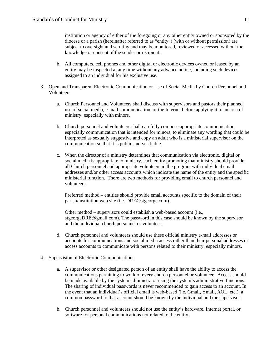institution or agency of either of the foregoing or any other entity owned or sponsored by the diocese or a parish (hereinafter referred to as "entity") (with or without permission) are subject to oversight and scrutiny and may be monitored, reviewed or accessed without the knowledge or consent of the sender or recipient.

- b. All computers, cell phones and other digital or electronic devices owned or leased by an entity may be inspected at any time without any advance notice, including such devices assigned to an individual for his exclusive use.
- 3. Open and Transparent Electronic Communication or Use of Social Media by Church Personnel and Volunteers
	- a. Church Personnel and Volunteers shall discuss with supervisors and pastors their planned use of social media, e-mail communication, or the Internet before applying it to an area of ministry, especially with minors.
	- b. Church personnel and volunteers shall carefully compose appropriate communication, especially communication that is intended for minors, to eliminate any wording that could be interpreted as sexually suggestive and copy an adult who is a ministerial supervisor on the communication so that it is public and verifiable.
	- c. When the director of a ministry determines that communication via electronic, digital or social media is appropriate to ministry, each entity promoting that ministry should provide all Church personnel and appropriate volunteers in the program with individual email addresses and/or other access accounts which indicate the name of the entity and the specific ministerial function. There are two methods for providing email to church personnel and volunteers.

Preferred method – entities should provide email accounts specific to the domain of their parish/institution web site (i.e. DRE@stgeorge.com).

Other method – supervisors could establish a web-based account (i.e., stgeorgeDRE@gmail.com). The password in this case should be known by the supervisor and the individual church personnel or volunteer.

- d. Church personnel and volunteers should use these official ministry e-mail addresses or accounts for communications and social media access rather than their personal addresses or access accounts to communicate with persons related to their ministry, especially minors.
- 4. Supervision of Electronic Communications
	- a. A supervisor or other designated person of an entity shall have the ability to access the communications pertaining to work of every church personnel or volunteer. Access should be made available by the system administrator using the system's administrative functions. The sharing of individual passwords is never recommended to gain access to an account. In the event that an individual's official email is web-based (i.e. Gmail, Ymail, AOL, etc.), a common password to that account should be known by the individual and the supervisor.
	- b. Church personnel and volunteers should not use the entity's hardware, Internet portal, or software for personal communications not related to the entity.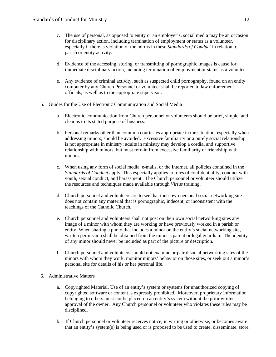- c. The use of personal, as opposed to entity or an employer's, social media may be an occasion for disciplinary action, including termination of employment or status as a volunteer, especially if there is violation of the norms in these *Standards of Conduct* in relation to parish or entity activity.
- d. Evidence of the accessing, storing, or transmitting of pornographic images is cause for immediate disciplinary action, including termination of employment or status as a volunteer.
- e. Any evidence of criminal activity, such as suspected child pornography, found on an entity computer by any Church Personnel or volunteer shall be reported to law enforcement officials, as well as to the appropriate supervisor.
- 5. Guides for the Use of Electronic Communication and Social Media
	- a. Electronic communication from Church personnel or volunteers should be brief, simple, and clear as to its stated purpose of business.
	- b. Personal remarks other than common courtesies appropriate in the situation, especially when addressing minors, should be avoided**.** Excessive familiarity or a purely social relationship is not appropriate in ministry; adults in ministry may develop a cordial and supportive relationship with minors, but must refrain from excessive familiarity or friendship with minors.
	- c. When using any form of social media, e-mails, or the Internet, all policies contained in the *Standards of Conduct* apply. This especially applies to rules of confidentiality, conduct with youth, sexual conduct, and harassment. The Church personnel or volunteer should utilize the resources and techniques made available through *Virtus* training.
	- d. Church personnel and volunteers are to see that their own personal social networking site does not contain any material that is pornographic, indecent, or inconsistent with the teachings of the Catholic Church.
	- e. Church personnel and volunteers shall not post on their own social networking sites any image of a minor with whom they are working or have previously worked in a parish or entity. When sharing a photo that includes a minor on the entity's social networking site, written permission shall be obtained from the minor's parent or legal guardian. The identity of any minor should never be included as part of the picture or description.
	- f. Church personnel and volunteers should not examine or patrol social networking sites of the minors with whom they work, monitor minors' behavior on those sites, or seek out a minor's personal site for details of his or her personal life.
- 6. Administrative Matters
	- a. Copyrighted Material. Use of an entity's system or systems for unauthorized copying of copyrighted software or content is expressly prohibited. Moreover, proprietary information belonging to others must not be placed on an entity's system without the prior written approval of the owner. Any Church personnel or volunteer who violates these rules may be disciplined.
	- b. If Church personnel or volunteer receives notice, in writing or otherwise, or becomes aware that an entity's system(s) is being used or is proposed to be used to create, disseminate, store,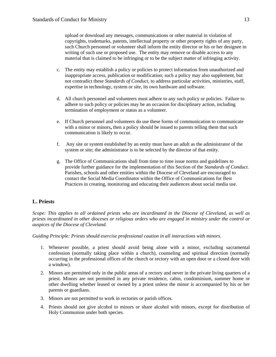upload or download any messages, communications or other material in violation of copyrights, trademarks, patents, intellectual property or other property rights of any party, such Church personnel or volunteer shall inform the entity director or his or her designee in writing of such use or proposed use. The entity may remove or disable access to any material that is claimed to be infringing or to be the subject matter of infringing activity.

- c. The entity may establish a policy or policies to protect information from unauthorized and inappropriate access, publication or modification; such a policy may also supplement, but not contradict these *Standards of Conduct*, to address particular activities, ministries, staff, expertise in technology, system or site, its own hardware and software.
- d. All church personnel and volunteers must adhere to any such policy or policies. Failure to adhere to such policy or policies may be an occasion for disciplinary action, including termination of employment or status as a volunteer.
- e. If Church personnel and volunteers do use these forms of communication to communicate with a minor or minors**,** then a policy should be issued to parents telling them that such communication is likely to occur.
- f. Any site or system established by an entity must have an adult as the administrator of the system or site; the administrator is to be selected by the director of that entity.
- g. The Office of Communications shall from time to time issue norms and guidelines to provide further guidance for the implementation of this Section of the *Standards of Conduct*. Parishes, schools and other entities within the Diocese of Cleveland are encouraged to contact the Social Media Coordinator within the Office of Communications for Best Practices in creating, monitoring and educating their audiences about social media use.

#### **L. Priests**

*Scope: This applies to all ordained priests who are incardinated in the Diocese of Cleveland, as well as priests incardinated in other dioceses or religious orders who are engaged in ministry under the control or auspices of the Diocese of Cleveland.* 

*Guiding Principle: Priests should exercise professional caution in all interactions with minors.* 

- 1. Whenever possible, a priest should avoid being alone with a minor, excluding sacramental confession (normally taking place within a church), counseling and spiritual direction (normally occurring in the professional offices of the church or rectory with an open door or a closed door with a window).
- 2. Minors are permitted only in the public areas of a rectory and never in the private living quarters of a priest. Minors are not permitted in any private residence, cabin, condominium, summer home or other dwelling whether leased or owned by a priest unless the minor is accompanied by his or her parents or guardians.
- 3. Minors are not permitted to work in rectories or parish offices.
- 4. Priests should not give alcohol to minors or share alcohol with minors, except for distribution of Holy Communion under both species.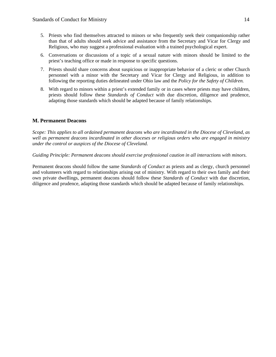- 5. Priests who find themselves attracted to minors or who frequently seek their companionship rather than that of adults should seek advice and assistance from the Secretary and Vicar for Clergy and Religious, who may suggest a professional evaluation with a trained psychological expert.
- 6. Conversations or discussions of a topic of a sexual nature with minors should be limited to the priest's teaching office or made in response to specific questions.
- 7. Priests should share concerns about suspicious or inappropriate behavior of a cleric or other Church personnel with a minor with the Secretary and Vicar for Clergy and Religious, in addition to following the reporting duties delineated under Ohio law and the *Policy for the Safety of Children.*
- 8. With regard to minors within a priest's extended family or in cases where priests may have children, priests should follow these *Standards of Conduct* with due discretion, diligence and prudence, adapting those standards which should be adapted because of family relationships.

#### **M. Permanent Deacons**

*Scope: This applies to all ordained permanent deacons who are incardinated in the Diocese of Cleveland, as well as permanent deacons incardinated in other dioceses or religious orders who are engaged in ministry under the control or auspices of the Diocese of Cleveland.* 

#### *Guiding Principle: Permanent deacons should exercise professional caution in all interactions with minors.*

Permanent deacons should follow the same *Standards of Conduct* as priests and as clergy, church personnel and volunteers with regard to relationships arising out of ministry. With regard to their own family and their own private dwellings, permanent deacons should follow these *Standards of Conduct* with due discretion, diligence and prudence, adapting those standards which should be adapted because of family relationships.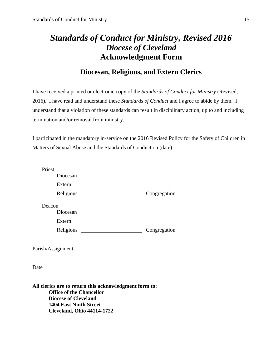## *Standards of Conduct for Ministry, Revised 2016 Diocese of Cleveland*  **Acknowledgment Form**

### **Diocesan, Religious, and Extern Clerics**

I have received a printed or electronic copy of the *Standards of Conduct for Ministry* (Revised, 2016). I have read and understand these *Standards of Conduct* and I agree to abide by them. I understand that a violation of these standards can result in disciplinary action, up to and including termination and/or removal from ministry.

I participated in the mandatory in-service on the 2016 Revised Policy for the Safety of Children in Matters of Sexual Abuse and the Standards of Conduct on (date) \_\_\_\_\_\_\_\_\_\_\_\_\_\_\_\_\_.

| Priest |                                                                                                                                                                                                                                      |              |  |
|--------|--------------------------------------------------------------------------------------------------------------------------------------------------------------------------------------------------------------------------------------|--------------|--|
|        | Diocesan                                                                                                                                                                                                                             |              |  |
|        | Extern                                                                                                                                                                                                                               |              |  |
|        |                                                                                                                                                                                                                                      | Congregation |  |
| Deacon |                                                                                                                                                                                                                                      |              |  |
|        | Diocesan                                                                                                                                                                                                                             |              |  |
|        | Extern                                                                                                                                                                                                                               |              |  |
|        |                                                                                                                                                                                                                                      | Congregation |  |
|        |                                                                                                                                                                                                                                      |              |  |
|        |                                                                                                                                                                                                                                      |              |  |
|        |                                                                                                                                                                                                                                      |              |  |
|        | Date <u>and the set of the set of the set of the set of the set of the set of the set of the set of the set of the set of the set of the set of the set of the set of the set of the set of the set of the set of the set of the</u> |              |  |
|        |                                                                                                                                                                                                                                      |              |  |
|        | All clerics are to return this acknowledgment form to:                                                                                                                                                                               |              |  |
|        | <b>Office of the Chancellor</b>                                                                                                                                                                                                      |              |  |
|        | <b>Diocese of Cleveland</b>                                                                                                                                                                                                          |              |  |
|        | <b>1404 East Ninth Street</b>                                                                                                                                                                                                        |              |  |
|        | <b>Cleveland, Ohio 44114-1722</b>                                                                                                                                                                                                    |              |  |